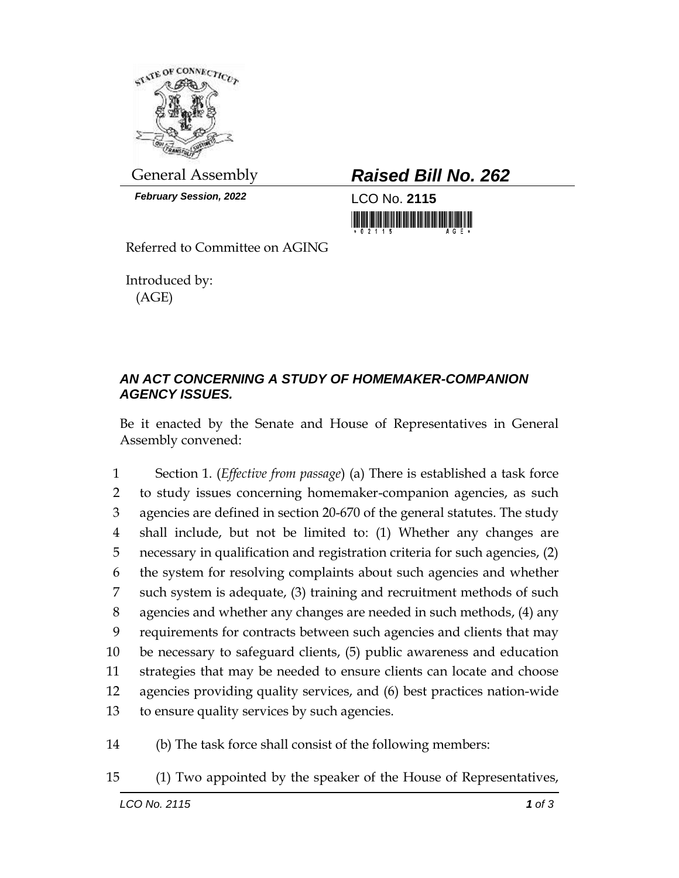

*February Session, 2022* LCO No. **2115**

General Assembly *Raised Bill No. 262*

<u> III di kacamatan ing Kabupatèn III di kacamatan III di kacamatan III di kacamatan III di kacamatan III di kacamatan III di kacamatan III di kacamatan III di kacamatan III di kacamatan III di kacamatan III di kacamatan II</u>

Referred to Committee on AGING

Introduced by: (AGE)

## *AN ACT CONCERNING A STUDY OF HOMEMAKER-COMPANION AGENCY ISSUES.*

Be it enacted by the Senate and House of Representatives in General Assembly convened:

 Section 1. (*Effective from passage*) (a) There is established a task force to study issues concerning homemaker-companion agencies, as such agencies are defined in section 20-670 of the general statutes. The study shall include, but not be limited to: (1) Whether any changes are necessary in qualification and registration criteria for such agencies, (2) the system for resolving complaints about such agencies and whether such system is adequate, (3) training and recruitment methods of such agencies and whether any changes are needed in such methods, (4) any requirements for contracts between such agencies and clients that may be necessary to safeguard clients, (5) public awareness and education strategies that may be needed to ensure clients can locate and choose agencies providing quality services, and (6) best practices nation-wide to ensure quality services by such agencies.

14 (b) The task force shall consist of the following members:

15 (1) Two appointed by the speaker of the House of Representatives,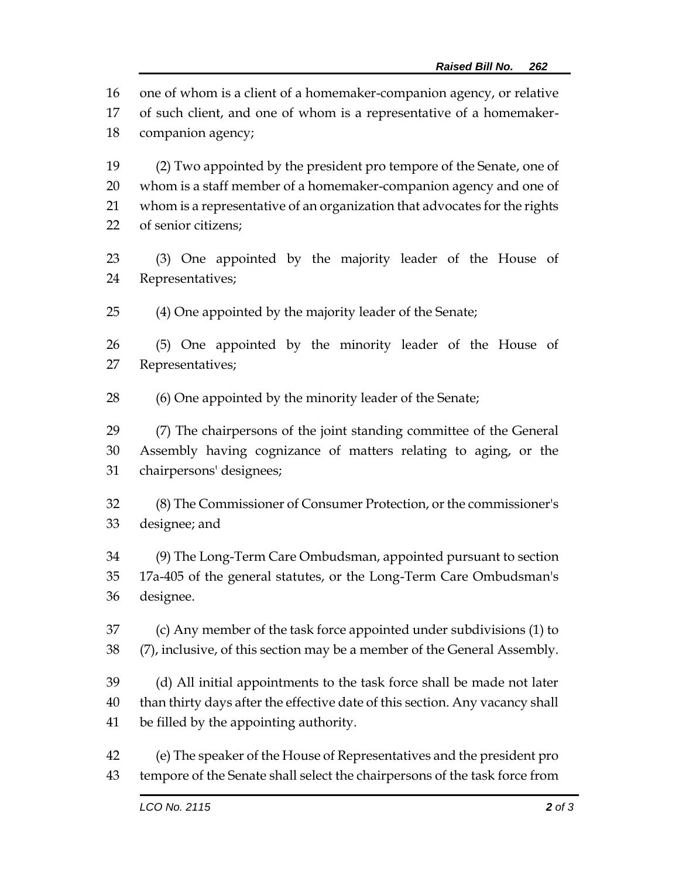one of whom is a client of a homemaker-companion agency, or relative

 of such client, and one of whom is a representative of a homemaker-companion agency;

 (2) Two appointed by the president pro tempore of the Senate, one of whom is a staff member of a homemaker-companion agency and one of whom is a representative of an organization that advocates for the rights of senior citizens;

 (3) One appointed by the majority leader of the House of Representatives;

(4) One appointed by the majority leader of the Senate;

 (5) One appointed by the minority leader of the House of Representatives;

(6) One appointed by the minority leader of the Senate;

 (7) The chairpersons of the joint standing committee of the General Assembly having cognizance of matters relating to aging, or the chairpersons' designees;

 (8) The Commissioner of Consumer Protection, or the commissioner's designee; and

 (9) The Long-Term Care Ombudsman, appointed pursuant to section 17a-405 of the general statutes, or the Long-Term Care Ombudsman's designee.

 (c) Any member of the task force appointed under subdivisions (1) to (7), inclusive, of this section may be a member of the General Assembly.

 (d) All initial appointments to the task force shall be made not later than thirty days after the effective date of this section. Any vacancy shall be filled by the appointing authority.

 (e) The speaker of the House of Representatives and the president pro tempore of the Senate shall select the chairpersons of the task force from